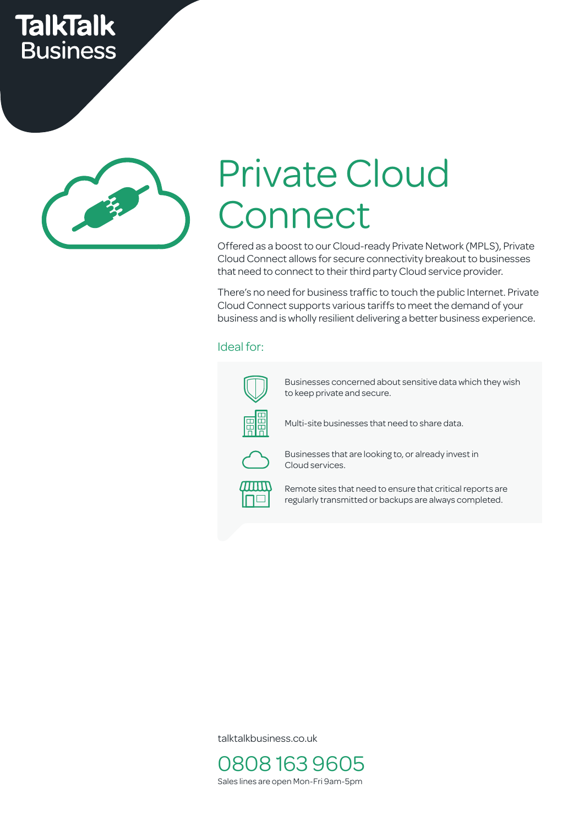## **TalkTalk Business**



# Private Cloud **Connect**

Offered as a boost to our Cloud-ready Private Network (MPLS), Private Cloud Connect allows for secure connectivity breakout to businesses that need to connect to their third party Cloud service provider.

There's no need for business traffic to touch the public Internet. Private Cloud Connect supports various tariffs to meet the demand of your business and is wholly resilient delivering a better business experience.

#### Ideal for:



Businesses concerned about sensitive data which they wish to keep private and secure.

Multi-site businesses that need to share data.



Businesses that are looking to, or already invest in Cloud services.



Remote sites that need to ensure that critical reports are regularly transmitted or backups are always completed.

talktalkbusiness.co.uk